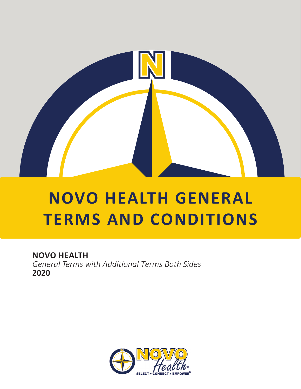

# **NOVO HEALTH GENERAL TERMS AND CONDITIONS**

# **NOVO HEALTH**

*General Terms with Additional Terms Both Sides* **2020**

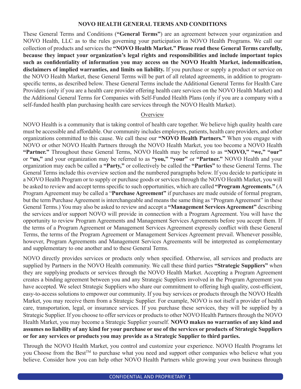# **NOVO HEALTH GENERAL TERMS AND CONDITIONS**

These General Terms and Conditions (**"General Terms"**) are an agreement between your organization and NOVO Health, LLC as to the rules governing your participation in NOVO Health Programs. We call our collection of products and services the **"NOVO Health Market." Please read these General Terms carefully, because they impact your organization's legal rights and responsibilities and include important topics such as confidentiality of information you may access on the NOVO Health Market, indemnification, disclaimers of implied warranties, and limits on liability.** If you purchase or supply a product or service on the NOVO Health Market, these General Terms will be part of all related agreements, in addition to programspecific terms, as described below. These General Terms include the Additional General Terms for Health Care Providers (only if you are a health care provider offering health care services on the NOVO Health Market) and the Additional General Terms for Companies with Self-Funded Health Plans (only if you are a company with a self-funded health plan purchasing health care services through the NOVO Health Market).

# **Overview**

NOVO Health is a community that is taking control of health care together. We believe high quality health care must be accessible and affordable. Our community includes employers, patients, health care providers, and other organizations committed to this cause. We call these our **"NOVO Health Partners."** When you engage with NOVO or other NOVO Health Partners through the NOVO Health Market, you too become a NOVO Health **"Partner."** Throughout these General Terms, NOVO Health may be referred to as **"NOVO," "we," "our"**  or **"us,"** and your organization may be referred to as **"you," "your"** or **"Partner."** NOVO Health and your organization may each be called a **"Party,"** or collectively be called the **"Parties"** to these General Terms. The General Terms include this overview section and the numbered paragraphs below. If you decide to participate in a NOVO Health Program or to supply or purchase goods or services through the NOVO Health Market, you will be asked to review and accept terms specific to such opportunities, which are called **"Program Agreements."** (A Program Agreement may be called a "**Purchase Agreement"** if purchases are made outside of formal program, but the term Purchase Agreement is interchangeable and means the same thing as "Program Agreement" in these General Terms.) You may also be asked to review and accept a **"Management Services Agreement"** describing the services and/or support NOVO will provide in connection with a Program Agreement. You will have the opportunity to review Program Agreements and Management Services Agreements before you accept them. If the terms of a Program Agreement or Management Services Agreement expressly conflict with these General Terms, the terms of the Program Agreement or Management Services Agreement prevail. Whenever possible, however, Program Agreements and Management Services Agreements will be interpreted as complementary and supplementary to one another and to these General Terms.

NOVO directly provides services or products only when specified. Otherwise, all services and products are supplied by Partners in the NOVO Health community. We call these third parties **"Strategic Suppliers"** when they are supplying products or services through the NOVO Health Market. Accepting a Program Agreement creates a binding agreement between you and any Strategic Suppliers involved in the Program Agreement you have accepted. We select Strategic Suppliers who share our commitment to offering high quality, cost-efficient, easy-to-access solutions to empower our community. If you buy services or products through the NOVO Health Market, you may receive them from a Strategic Supplier. For example, NOVO is not itself a provider of health care, transportation, legal, or insurance services. If you purchase these services, they will be supplied by a Strategic Supplier. If you choose to offer services or products to other NOVO Health Partners through the NOVO Health Market, you may become a Strategic Supplier yourself. **NOVO makes no warranties of any kind and assumes no liability of any kind for your purchase or use of the services or products of Strategic Suppliers or for any services or products you may provide as a Strategic Supplier to third parties.**

Through the NOVO Health Market, you control and customize your experience. NOVO Health Programs let you Choose from the Best<sup>™</sup> to purchase what you need and support other companies who believe what you believe. Consider how you can help other NOVO Health Partners while growing your own business through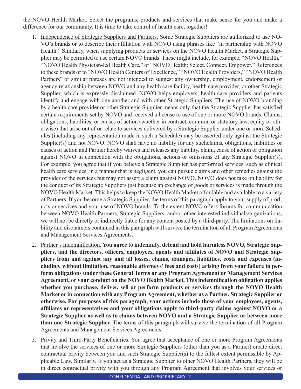the NOVO Health Market. Select the programs, products and services that make sense for you and make a difference for our community. It is time to take control of health care, together!

- 1. Independence of Strategic Suppliers and Partners. Some Strategic Suppliers are authorized to use NO-VO's brands or to describe their affiliation with NOVO using phrases like "in partnership with NOVO Health." Similarly, when supplying products or services on the NOVO Health Market, a Strategic Supplier may be permitted to use certain NOVO brands. These might include, for example, "NOVO Health," "NOVO Health Physician-led Health Care," or "NOVO Health: Select. Connect. Empower." References to these brands or to "NOVO Health Centers of Excellence," "NOVO Health Providers," "NOVO Health Partners" or similar phrases are not intended to suggest any ownership, employment, endorsement or agency relationship between NOVO and any health care facility, health care provider, or other Strategic Supplier, which is expressly disclaimed. NOVO helps employers, health care providers and patients identify and engage with one another and with other Strategic Suppliers. The use of NOVO branding by a health care provider or other Strategic Supplier means only that the Strategic Supplier has satisfied certain requirements set by NOVO and received a license to use of one or more NOVO brands. Claims, obligations, liabilities, or causes of action (whether in contract, common or statutory law, equity or otherwise) that arise out of or relate to services delivered by a Strategic Supplier under one or more Schedules (including any representation made in such a Schedule) may be asserted only against the Strategic Supplier(s) and not NOVO. NOVO shall have no liability for any suchclaims, obligations, liabilities or causes of action and Partner hereby waives and releases any liability, claim, cause of action or obligation against NOVO in connection with the obligations, actions or omissions of any Strategic Supplier(s). For example, you agree that if you believe a Strategic Supplier has performed services, such as clinical health care services, in a manner that is negligent, you can pursue claims and other remedies against the provider of the services but may not assert a claim against NOVO. NOVO does not take on liability for the conduct of its Strategic Suppliers just because an exchange of goods or services is made through the NOVO Health Market. This helps to keep the NOVO Health Market affordable and available to a variety of Partners. If you become a Strategic Supplier, the terms of this paragraph apply to your supply of products or services and your use of NOVO brands. To the extent NOVO offers forums for communication between NOVO Health Partners, Strategic Suppliers, and/or other interested individuals/organizations, we will not be directly or indirectly liable for any content posted by a third-party. The limitations on liability and disclaimers contained in this paragraph will survive the termination of all Program Agreements and Management Services Agreements.
- 2. Partner's Indemnification. **You agree to indemnify, defend and hold harmless NOVO, Strategic Suppliers, and the directors, officers, employees, agents and affiliates of NOVO and Strategic Suppliers from and against any and all losses, claims, damages, liabilities, costs and expenses (including, without limitation, reasonable attorneys' fees and costs) arising from your failure to perform obligations under these General Terms or any Program Agreement or Management Services Agreement, or your conduct on the NOVO Health Market. This indemnification obligation applies whether you purchase, deliver, sell or perform products or services through the NOVO Health Market or in connection with any Program Agreement, whether as a Partner, Strategic Supplier or otherwise. For purposes of this paragraph, your actions include those of your employees, agents, affiliates or representatives and your obligations apply to third-party claims against NOVO or a Strategic Supplier as well as to claims between NOVO and a Strategic Supplier or between more than one Strategic Supplier.** The terms of this paragraph will survive the termination of all Program Agreements and Management Services Agreements.
- 3. Privity and Third-Party Beneficiaries. You agree that acceptance of one or more Program Agreements that involve the services of one or more Strategic Suppliers (other than you as a Partner) create direct contractual privity between you and such Strategic Supplier(s) to the fullest extent permissible by Applicable Law. Similarly, if you act as a Strategic Supplier to other NOVO Health Partners, they will be in direct contractual privity with you through any Program Agreement that involves your services or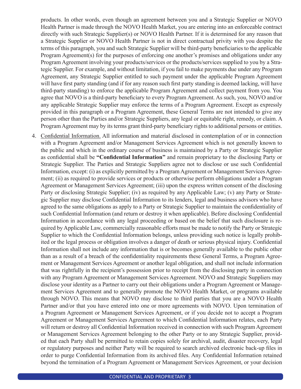products. In other words, even though an agreement between you and a Strategic Supplier or NOVO Health Partner is made through the NOVO Health Market, you are entering into an enforceable contract directly with such Strategic Supplier(s) or NOVO Health Partner. If it is determined for any reason that a Strategic Supplier or NOVO Health Partner is not in direct contractual privity with you despite the terms of this paragraph, you and such Strategic Supplier will be third-party beneficiaries to the applicable Program Agreement(s) for the purposes of enforcing one another's promises and obligations under any Program Agreement involving your products/services or the products/services supplied to you by a Strategic Supplier. For example, and without limitation, if you fail to make payments due under any Program Agreement, any Strategic Supplier entitled to such payment under the applicable Program Agreement will have first party standing (and if for any reason such first party standing is deemed lacking, will have third-party standing) to enforce the applicable Program Agreement and collect payment from you. You agree that NOVO is a third-party beneficiary to every Program Agreement. As such, you, NOVO and/or any applicable Strategic Supplier may enforce the terms of a Program Agreement. Except as expressly provided in this paragraph or a Program Agreement, these General Terms are not intended to give any person other than the Parties and/or Strategic Suppliers, any legal or equitable right, remedy, or claim. A Program Agreement may by its terms grant third-party beneficiary rights to additional persons or entities.

4. Confidential Information. All information and material disclosed in contemplation of or in connection with a Program Agreement and/or Management Services Agreement which is not generally known to the public and which in the ordinary course of business is maintained by a Party or Strategic Supplier as confidential shall be **"Confidential Information"** and remain proprietary to the disclosing Party or Strategic Supplier. The Parties and Strategic Suppliers agree not to disclose or use such Confidential Information, except: (i) as explicitly permitted by a Program Agreement or Management Services Agreement; (ii) as required to provide services or products or otherwise perform obligations under a Program Agreement or Management Services Agreement; (iii) upon the express written consent of the disclosing Party or disclosing Strategic Supplier; (iv) as required by any Applicable Law; (v) any Party or Strategic Supplier may disclose Confidential Information to its lenders, legal and business advisors who have agreed to the same obligations as apply to a Party or Strategic Supplier to maintain the confidentiality of such Confidential Information (and return or destroy it when applicable). Before disclosing Confidential Information in accordance with any legal proceeding or based on the belief that such disclosure is required by Applicable Law, commercially reasonable efforts must be made to notify the Party or Strategic Supplier to which the Confidential Information belongs, unless providing such notice is legally prohibited or the legal process or obligation involves a danger of death or serious physical injury. Confidential Information shall not include any information that is or becomes generally available to the public other than as a result of a breach of the confidentiality requirements these General Terms, a Program Agreement or Management Services Agreement or another legal obligation, and shall not include information that was rightfully in the recipient's possession prior to receipt from the disclosing party in connection with any Program Agreement or Management Services Agreement. NOVO and Strategic Suppliers may disclose your identity as a Partner to carry out their obligations under a Program Agreement or Management Services Agreement and to generally promote the NOVO Health Market, or programs available through NOVO. This means that NOVO may disclose to third parties that you are a NOVO Health Partner and/or that you have entered into one or more agreements with NOVO. Upon termination of a Program Agreement or Management Services Agreement, or if you decide not to accept a Program Agreement or Management Services Agreement to which Confidential Information relates, each Party will return or destroy all Confidential Information received in connection with such Program Agreement or Management Services Agreement belonging to the other Party or to any Strategic Supplier, provided that each Party shall be permitted to retain copies solely for archival, audit, disaster recovery, legal or regulatory purposes and neither Party will be required to search archived electronic back-up files in order to purge Confidential Information from its archived files. Any Confidential Information retained beyond the termination of a Program Agreement or Management Services Agreement, or your decision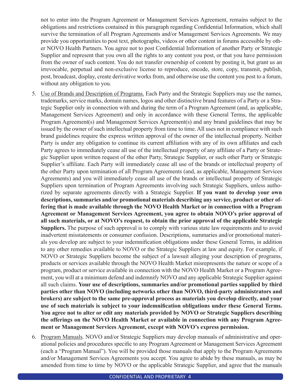not to enter into the Program Agreement or Management Services Agreement, remains subject to the obligations and restrictions contained in this paragraph regarding Confidential Information, which shall survive the termination of all Program Agreements and/or Management Services Agreements. We may provide you opportunities to post text, photographs, videos or other content in forums accessible by other NOVO Health Partners. You agree not to post Confidential Information of another Party or Strategic Supplier and represent that you own all the rights to any content you post, or that you have permission from the owner of such content. You do not transfer ownership of content by posting it, but grant us an irrevocable, perpetual and non-exclusive license to reproduce, encode, store, copy, transmit, publish, post, broadcast, display, create derivative works from, and otherwise use the content you post to a forum, without any obligation to you.

- 5. Use of Brands and Description of Programs. Each Party and the Strategic Suppliers may use the names, trademarks, service marks, domain names, logos and other distinctive brand features of a Party or a Strategic Supplier only in connection with and during the term of a Program Agreement (and, as applicable, Management Services Agreement) and only in accordance with these General Terms, the applicable Program Agreement(s) and Management Services Agreement(s) and any brand guidelines that may be issued by the owner of such intellectual property from time to time. All uses not in compliance with such brand guidelines require the express written approval of the owner of the intellectual property. Neither Party is under any obligation to continue its current affiliation with any of its own affiliates and each Party agrees to immediately cease all use of the intellectual property of any affiliate of a Party or Strategic Supplier upon written request of the other Party, Strategic Supplier, or such other Party or Strategic Supplier's affiliate. Each Party will immediately cease all use of the brands or intellectual property of the other Party upon termination of all Program Agreements (and, as applicable, Management Services Agreements) and you will immediately cease all use of the brands or intellectual property of Strategic Suppliers upon termination of Program Agreements involving such Strategic Suppliers, unless authorized by separate agreements directly with a Strategic Supplier. **If you want to develop your own descriptions, summaries and/or promotional materials describing any service, product or other offering that is made available through the NOVO Health Market or in connection with a Program Agreement or Management Services Agreement, you agree to obtain NOVO's prior approval of all such materials, or at NOVO's request, to obtain the prior approval of the applicable Strategic Suppliers.** The purpose of such approval is to comply with various state law requirements and to avoid inadvertent misstatements or consumer confusion. Descriptions, summaries and/or promotional materials you develop are subject to your indemnification obligations under these General Terms, in addition to any other remedies available to NOVO or the Strategic Suppliers at law and equity. For example, if NOVO or Strategic Suppliers become the subject of a lawsuit alleging your description of programs, products or services available through the NOVO Health Market misrepresents the nature or scope of a program, product or service available in connection with the NOVO Health Market or a Program Agreement, you will at a minimum defend and indemnify NOVO and any applicable Strategic Supplier against all such claims. **Your use of descriptions, summaries and/or promotional parties supplied by third parties other than NOVO (including networks other than NOVO, third-party administrators and brokers) are subject to the same pre-approval process as materials you develop directly, and your use of such materials is subject to your indemnification obligations under these General Terms. You agree not to alter or edit any materials provided by NOVO or Strategic Suppliers describing the offerings on the NOVO Health Market or available in connection with any Program Agreement or Management Services Agreement, except with NOVO's express permission.**
- 6. Program Manuals. NOVO and/or Strategic Suppliers may develop manuals of administrative and operational policies and procedures specific to any Program Agreement or Management Services Agreement (each a "Program Manual"). You will be provided those manuals that apply to the Program Agreements and/or Management Services Agreements you accept. You agree to abide by these manuals, as may be amended from time to time by NOVO or the applicable Strategic Supplier, and agree that the manuals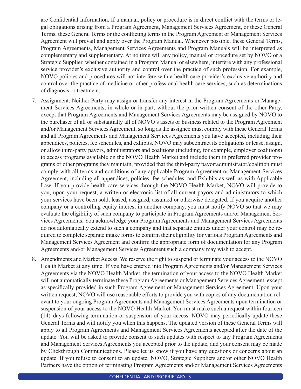are Confidential Information. If a manual, policy or procedure is in direct conflict with the terms or legal obligations arising from a Program Agreement, Management Services Agreement, or these General Terms, these General Terms or the conflicting terms in the Program Agreement or Management Services Agreement will prevail and apply over the Program Manual. Whenever possible, these General Terms, Program Agreements, Management Services Agreements and Program Manuals will be interpreted as complementary and supplementary. At no time will any policy, manual or procedure set by NOVO or a Strategic Supplier, whether contained in a Program Manual or elsewhere, interfere with any professional service provider's exclusive authority and control over the practice of such profession. For example, NOVO policies and procedures will not interfere with a health care provider's exclusive authority and control over the practice of medicine or other professional health care services, such as determinations of diagnosis or treatment.

- 7. Assignment. Neither Party may assign or transfer any interest in the Program Agreements or Management Services Agreements, in whole or in part, without the prior written consent of the other Party, except that Program Agreements and Management Services Agreements may be assigned by NOVO to the purchaser of all or substantially all of NOVO's assets or business related to the Program Agreement and/or Management Services Agreement, so long as the assignee must comply with these General Terms and all Program Agreements and Management Services Agreements you have accepted, including their appendices, policies, fee schedules, and exhibits. NOVO may subcontract its obligations or lease, assign, or allow third-party payors, administrators and coalitions (including, for example, employer coalitions) to access programs available on the NOVO Health Market and include them in preferred provider programs or other programs they maintain, provided that the third-party payor/administrator/coalition must comply with all terms and conditions of any applicable Program Agreement or Management Services Agreement, including all appendices, policies, fee schedules, and Exhibits as well as with Applicable Law. If you provide health care services through the NOVO Health Market, NOVO will provide to you, upon your request, a written or electronic list of all current payors and administrators to which your services have been sold, leased, assigned, assumed or otherwise delegated. If you acquire another company or a controlling equity interest in another company, you must notify NOVO so that we may evaluate the eligibility of such company to participate in Program Agreements and/or Management Services Agreements. You acknowledge your Program Agreements and Management Services Agreements do not automatically extend to such a company and that separate entities under your control may be required to complete separate intake forms to confirm their eligibility for various Program Agreements and Management Services Agreement and confirm the appropriate form of documentation for any Program Agreements and/or Management Services Agreement such a company may wish to accept.
- 8. Amendments and Market Access. We reserve the right to suspend or terminate your access to the NOVO Health Market at any time. If you have entered into Program Agreements and/or Management Services Agreements via the NOVO Health Market, the termination of your access to the NOVO Health Market will not automatically terminate these Program Agreements or Management Services Agreement, except as specifically provided in such Program Agreement or Management Services Agreement. Upon your written request, NOVO will use reasonable efforts to provide you with copies of any documentation relevant to your ongoing Program Agreements and Management Services Agreements upon termination or suspension of your access to the NOVO Health Market. You must make such a request within fourteen (14) days following termination or suspension of your access. NOVO may periodically update these General Terms and will notify you when this happens. The updated version of these General Terms will apply to all Program Agreements and Management Services Agreements accepted after the date of the update. You will be asked to provide consent to such updates with respect to any Program Agreements and Management Services Agreements you accepted prior to the update, and your consent may be made by Clickthrough Communications. Please let us know if you have any questions or concerns about an update. If you refuse to consent to an update, NOVO, Strategic Suppliers and/or other NOVO Health Partners have the option of terminating Program Agreements and/or Management Services Agreements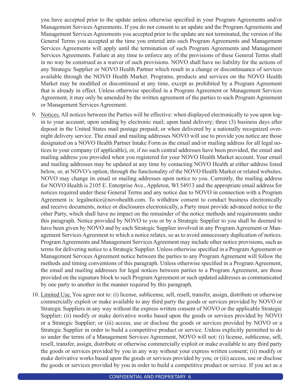you have accepted prior to the update unless otherwise specified in your Program Agreements and/or Management Services Agreements. If you do not consent to an update and the Program Agreements and Management Services Agreements you accepted prior to the update are not terminated, the version of the General Terms you accepted at the time you entered into such Program Agreements and Management Services Agreements will apply until the termination of such Program Agreements and Management Services Agreements. Failure at any time to enforce any of the provisions of these General Terms shall in no way be construed as a waiver of such provisions. NOVO shall have no liability for the actions of any Strategic Supplier or NOVO Health Partner which result in a change or discontinuance of services available through the NOVO Health Market. Programs, products and services on the NOVO Health Market may be modified or discontinued at any time, except as prohibited by a Program Agreement that is already in effect. Unless otherwise specified in a Program Agreement or Management Services Agreement, it may only be amended by the written agreement of the parties to such Program Agreement or Management Services Agreement.

- 9. Notices. All notices between the Parties will be effective: when displayed electronically to you upon login to your account; upon sending by electronic mail; upon hand delivery; three (3) business days after deposit in the United States mail postage prepaid; or when delivered by a nationally recognized overnight delivery service. The email and mailing addresses NOVO will use to provide you notice are those designated on a NOVO Health Partner Intake Form as the email and/or mailing address for all legal notices to your company (if applicable), or, if no such central addresses have been provided, the email and mailing address you provided when you registered for your NOVO Health Market account. Your email and mailing addresses may be updated at any time by contacting NOVO Health at either address listed below, or, at NOVO's option, through the functionality of the NOVO Health Market or related websites. NOVO may change its email or mailing addresses upon notice to you. Currently, the mailing address for NOVO Health is 2105 E. Enterprise Ave., Appleton, WI 54913 and the appropriate email address for notices required under these General Terms and any notice due to NOVO in connection with a Program Agreement is: legalnotice@novohealth.com. To withdraw consent to conduct business electronically and receive documents, notice or disclosures electronically, a Party must provide advanced notice to the other Party, which shall have no impact on the remainder of the notice methods and requirements under this paragraph. Notice provided by NOVO to you or by a Strategic Supplier to you shall be deemed to have been given by NOVO and by each Strategic Supplier involved in any Program Agreement or Management Services Agreement to which a notice relates, so as to avoid unnecessary duplication of notices. Program Agreements and Management Services Agreement may include other notice provisions, such as terms for delivering notice to a Strategic Supplier. Unless otherwise specified in a Program Agreement or Management Services Agreement notice between the parties to any Program Agreement will follow the methods and timing conventions of this paragraph. Unless otherwise specified in a Program Agreement, the email and mailing addresses for legal notices between parties to a Program Agreement, are those provided on the signature block to such Program Agreement or such updated addresses as communicated by one party to another in the manner required by this paragraph.
- 10. Limited Use. You agree not to: (i) license, sublicense, sell, resell, transfer, assign, distribute or otherwise commercially exploit or make available to any third party the goods or services provided by NOVO or Strategic Suppliers in any way without the express written consent of NOVO or the applicable Strategic Supplier; (ii) modify or make derivative works based upon the goods or services provided by NOVO or a Strategic Supplier; or (iii) access, use or disclose the goods or services provided by NOVO or a Strategic Supplier in order to build a competitive product or service. Unless explicitly permitted to do so under the terms of a Management Services Agreement, NOVO will not: (i) license, sublicense, sell, resell, transfer, assign, distribute or otherwise commercially exploit or make available to any third party the goods or services provided by you in any way without your express written consent; (ii) modify or make derivative works based upon the goods or services provided by you; or (iii) access, use or disclose the goods or services provided by you in order to build a competitive product or service. If you act as a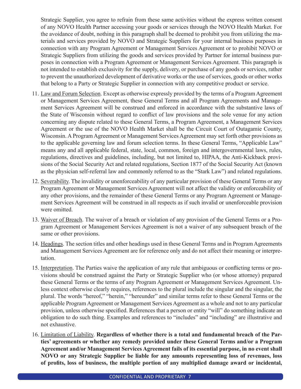Strategic Supplier, you agree to refrain from these same activities without the express written consent of any NOVO Health Partner accessing your goods or services through the NOVO Health Market. For the avoidance of doubt, nothing in this paragraph shall be deemed to prohibit you from utilizing the materials and services provided by NOVO and Strategic Suppliers for your internal business purposes in connection with any Program Agreement or Management Services Agreement or to prohibit NOVO or Strategic Suppliers from utilizing the goods and services provided by Partner for internal business purposes in connection with a Program Agreement or Management Services Agreement. This paragraph is not intended to establish exclusivity for the supply, delivery, or purchase of any goods or services, rather to prevent the unauthorized development of derivative works or the use of services, goods or other works that belong to a Party or Strategic Supplier in connection with any competitive product or service.

- 11. Law and Forum Selection. Except as otherwise expressly provided by the terms of a Program Agreement or Management Services Agreement, these General Terms and all Program Agreements and Management Services Agreement will be construed and enforced in accordance with the substantive laws of the State of Wisconsin without regard to conflict of law provisions and the sole venue for any action concerning any dispute related to these General Terms, a Program Agreement, a Management Services Agreement or the use of the NOVO Health Market shall be the Circuit Court of Outagamie County, Wisconsin. A Program Agreement or Management Services Agreement may set forth other provisions as to the applicable governing law and forum selection terms. In these General Terms, "Applicable Law" means any and all applicable federal, state, local, common, foreign and intergovernmental laws, rules, regulations, directives and guidelines, including, but not limited to, HIPAA, the Anti-Kickback provisions of the Social Security Act and related regulations, Section 1877 of the Social Security Act (known as the physician self-referral law and commonly referred to as the "Stark Law") and related regulations.
- 12. Severability. The invalidity or unenforceability of any particular provision of these General Terms or any Program Agreement or Management Services Agreement will not affect the validity or enforceability of any other provisions, and the remainder of these General Terms or any Program Agreement or Management Services Agreement will be construed in all respects as if such invalid or unenforceable provision were omitted.
- 13. Waiver of Breach. The waiver of a breach or violation of any provision of the General Terms or a Program Agreement or Management Services Agreement is not a waiver of any subsequent breach of the same or other provisions.
- 14. Headings. The section titles and other headings used in these General Terms and in Program Agreements and Management Services Agreement are for reference only and do not affect their meaning or interpretation.
- 15. Interpretation. The Parties waive the application of any rule that ambiguous or conflicting terms or provisions should be construed against the Party or Strategic Supplier who (or whose attorney) prepared these General Terms or the terms of any Program Agreement or Management Services Agreement. Unless context otherwise clearly requires, references to the plural include the singular and the singular, the plural. The words "hereof," "herein," "hereunder" and similar terms refer to these General Terms or the applicable Program Agreement or Management Services Agreement as a whole and not to any particular provision, unless otherwise specified. References that a person or entity "will" do something indicate an obligation to do such thing. Examples and references to "includes" and "including" are illustrative and not exhaustive.
- 16. Limitation of Liability. **Regardless of whether there is a total and fundamental breach of the Parties' agreements or whether any remedy provided under these General Terms and/or a Program Agreement and/or Management Services Agreement fails of its essential purpose, in no event shall NOVO or any Strategic Supplier be liable for any amounts representing loss of revenues, loss of profits, loss of business, the multiple portion of any multiplied damage award or incidental,**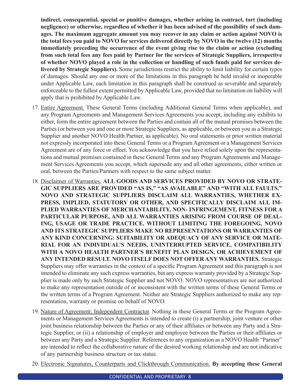**indirect, consequential, special or punitive damages, whether arising in contract, tort (including negligence) or otherwise, regardless of whether it has been advised of the possibility of such damages. The maximum aggregate amount you may recover in any claim or action against NOVO is the total fees you paid to NOVO for services delivered directly by NOVO in the twelve (12) months immediately preceding the occurrence of the event giving rise to the claim or action (excluding from such total fees any fees paid by Partner for the services of Strategic Suppliers, irrespective of whether NOVO played a role in the collection or handling of such funds paid for services delivered by Strategic Suppliers).** Some jurisdictions restrict the ability to limit liability for certain types of damages. Should any one or more of the limitations in this paragraph be held invalid or inoperable under Applicable Law, each limitation in this paragraph shall be construed as severable and separately enforceable to the fullest extent permitted by Applicable Law, provided that no limitation on liability will apply that is prohibited by Applicable Law.

- 17. Entire Agreement. These General Terms (including Additional General Terms when applicable), and any Program Agreements and Management Services Agreements you accept, including any exhibits to either, form the entire agreement between the Parties and contain all of the mutual promises between the Parties (or between you and one or more Strategic Suppliers, as applicable, or between you as a Strategic Supplier and another NOVO Health Partner, as applicable). No oral statements or prior written material not expressly incorporated into these General Terms or a Program Agreement or a Management Services Agreement are of any force or effect. You acknowledge that you have relied solely upon the representations and mutual promises contained in these General Terms and any Program Agreements and Management Services Agreements you accept, which supersede any and all other agreements, either written or oral, between the Parties/Partners with respect to the same subject matter.
- 18. Disclaimer of Warranties. **ALL GOODS AND SERVICES PROVIDED BY NOVO OR STRATE-GIC SUPPLIERS ARE PROVIDED "AS IS," "AS AVAILABLE" AND "WITH ALL FAULTS." NOVO AND STRATEGIC SUPPLIERS DISCLAIM ALL WARRANTIES, WHETHER EX-PRESS, IMPLIED, STATUTORY OR OTHER, AND SPECIFICALLY DISCLAIM ALL IM-PLIED WARRANTIES OF MERCHANTABILITY, NON- INFRINGEMENT, FITNESS FOR A PARTICULAR PURPOSE, AND ALL WARRANTIES ARISING FROM COURSE OF DEAL-ING, USAGE OR TRADE PRACTICE. WITHOUT LIMITING THE FOREGOING, NOVO AND ITS STRATEGIC SUPPLIERS MAKE NO REPRESENTATIONS OR WARRANTIES OF ANY KIND CONCERNING: SUITABILITY OR ADEQUACY OF ANY SERVICE OR MATE-RIAL FOR AN INDIVIDUAL'S NEEDS, UNINTERRUPTED SERVICE, COMPATIBILITY WITH A NOVO HEALTH PARTNER'S BENEFIT PLAN DESIGN, OR ACHIEVEMENT OF ANY INTENDED RESULT. NOVO ITSELF DOES NOT OFFER ANY WARRANTIES.** Strategic Suppliers may offer warranties in the context of a specific Program Agreement and this paragraph is not intended to eliminate any such express warranties, but any express warranty provided by a Strategic Supplier is made only by such Strategic Supplier and not NOVO. NOVO representatives are not authorized to make any representation outside of or inconsistent with the written terms of these General Terms or the written terms of a Program Agreement. Neither are Strategic Suppliers authorized to make any representation, warranty or promise on behalf of NOVO.
- 19. Nature of Agreement; Independent Contractor. Nothing in these General Terms or the Program Agreements or Management Services Agreements is intended to create (i) a partnership, joint venture or other joint business relationship between the Parties or any of their affiliates or between any Party and a Strategic Supplier, or (ii) a relationship of employer and employee between the Parties or their affiliates or between any Party and a Strategic Supplier. References to any organization as a NOVO Health "Partner" are intended to reflect the collaborative nature of the desired working relationship and are not indicative of any partnership business structure or tax status.
- 20. Electronic Signatures, Counterparts and Clickthrough Communication. **By accepting these General**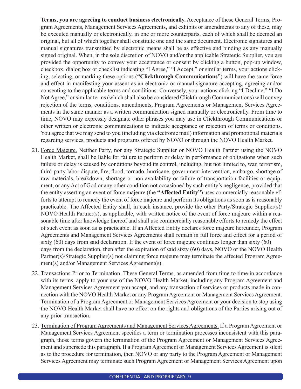**Terms, you are agreeing to conduct business electronically.** Acceptance of these General Terms, Program Agreements, Management Services Agreements, and exhibits or amendments to any of these, may be executed manually or electronically, in one or more counterparts, each of which shall be deemed an original, but all of which together shall constitute one and the same document. Electronic signatures and manual signatures transmitted by electronic means shall be as effective and binding as any manually signed original. When, in the sole discretion of NOVO and/or the applicable Strategic Supplier, you are provided the opportunity to convey your acceptance or consent by clicking a button, pop-up window, checkbox, dialog box or checklist indicating "I Agree," "I Accept," or similar terms, your actions clicking, selecting, or marking these options (**"Clickthrough Communications"**) will have the same force and effect in manifesting your assent as an electronic or manual signature accepting, agreeing and/or consenting to the applicable terms and conditions. Conversely, your actions clicking "I Decline," "I Do Not Agree," or similar terms (which shall also be considered Clickthrough Communications) will convey rejection of the terms, conditions, amendments, Program Agreements or Management Services Agreements in the same manner as a written communication signed manually or electronically. From time to time, NOVO may expressly designate other phrases you may use in Clickthrough Communications or other written or electronic communications to indicate acceptance or rejection of terms or conditions. You agree that we may send to you (including via electronic mail) information and promotional materials regarding services, products and programs offered by NOVO or through the NOVO Health Market.

- 21. Force Majeure. Neither Party, nor any Strategic Supplier or NOVO Health Partner using the NOVO Health Market, shall be liable for failure to perform or delay in performance of obligations when such failure or delay is caused by conditions beyond its control, including, but not limited to, war, terrorism, third-party labor dispute, fire, flood, tornado, hurricane, government intervention, embargo, shortage of raw materials, breakdown, shortage or non-availability or failure of transportation facilities or equipment, or any Act of God or any other condition not occasioned by such entity's negligence, provided that the entity asserting an event of force majeure (the **"Affected Entity"**) uses commercially reasonable efforts to attempt to remedy the event of force majeure and perform its obligations as soon as is reasonably practicable. The Affected Entity shall, in each instance, provide the other Party/Strategic Supplier(s)/ NOVO Health Partner(s), as applicable, with written notice of the event of force majeure within a reasonable time after knowledge thereof and shall use commercially reasonable efforts to remedy the effect of such event as soon as is practicable. If an Affected Entity declares force majeure hereunder, Program Agreements and Management Services Agreements shall remain in full force and effect for a period of sixty (60) days from said declaration. If the event of force majeure continues longer than sixty (60) days from the declaration, then after the expiration of said sixty (60) days, NOVO or the NOVO Health Partner(s)/Strategic Supplier(s) not claiming force majeure may terminate the affected Program Agreement(s) and/or Management Services Agreement(s).
- 22. Transactions Prior to Termination. These General Terms, as amended from time to time in accordance with its terms, apply to your use of the NOVO Health Market, including any Program Agreement and Management Services Agreement you accept, and any transaction of services or products made in connection with the NOVO Health Market or any Program Agreement or Management Services Agreement. Termination of a Program Agreement or Management Services Agreement or your decision to stop using the NOVO Health Market shall have no effect on the rights and obligations of the Parties arising out of any prior transaction.
- 23. Termination of Program Agreements and Management Services Agreements. If a Program Agreement or Management Services Agreement specifies a term or termination processes inconsistent with this paragraph, those terms govern the termination of the Program Agreement or Management Services Agreement and supersede this paragraph. If a Program Agreement or Management Services Agreement is silent as to the procedure for termination, then NOVO or any party to the Program Agreement or Management Services Agreement may terminate such Program Agreement or Management Services Agreement upon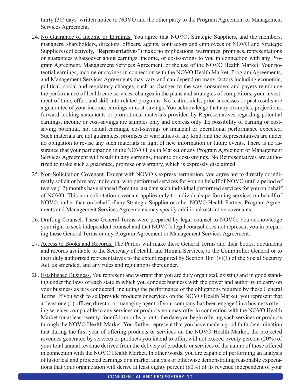thirty (30) days' written notice to NOVO and the other party to the Program Agreement or Management Services Agreement.

- 24. No Guarantee of Income or Earnings. You agree that NOVO, Strategic Suppliers, and the members, managers, shareholders, directors, officers, agents, contractors and employees of NOVO and Strategic Suppliers (collectively, "**Representatives**") make no implications, warranties, promises, representations or guarantees whatsoever about earnings, income, or cost-savings to you in connection with any Program Agreement, Management Services Agreement, or the use of the NOVO Health Market. Your potential earnings, income or savings in connection with the NOVO Health Market, Program Agreements, and Management Services Agreements may vary and can depend on many factors including economic, political, social and regulatory changes, such as changes to the way consumers and payers reimburse the performance of health care services, changes in the plans and strategies of competitors, your investment of time, effort and skill into related programs. No testimonials, prior successes or past results are a guarantee of your income, earnings or cost-savings. You acknowledge that any examples, projections, forward-looking statements or promotional materials provided by Representatives regarding potential earnings, income or cost-savings are samples only and express only the possibility of earning or costsaving potential, not actual earnings, cost-savings or financial or operational performance expected. Such materials are not guarantees, promises or warranties of any kind, and the Representatives are under no obligation to revise any such materials in light of new information or future events. There is no assurance that your participation in the NOVO Health Market or any Program Agreement or Management Services Agreement will result in any earnings, income or cost-savings. No Representatives are authorized to make such a guarantee, promise or warranty, which is expressly disclaimed.
- 25. Non-Solicitation Covenant. Except with NOVO's express permission, you agree not to directly or indirectly solicit or hire any individual who performed services for you on behalf of NOVO until a period of twelve (12) months have elapsed from the last date such individual performed services for you on behalf of NOVO. This non-solicitation covenant applies only to individuals performing services on behalf of NOVO, rather than on behalf of any Strategic Supplier or other NOVO Health Partner. Program Agreements and Management Services Agreements may specify additional restrictive covenants.
- 26. Drafting Counsel. These General Terms were prepared by legal counsel to NOVO. You acknowledge your right to seek independent counsel and that NOVO's legal counsel does not represent you in preparing these General Terms or any Program Agreement or Management Services Agreement.
- 27. Access to Books and Records. The Parties will make these General Terms and their books, documents and records available to the Secretary of Health and Human Services, to the Comptroller General or to their duly authorized representatives to the extent required by Section  $1861(v)(1)$  of the Social Security Act, as amended, and any rules and regulations thereunder.
- 28. Established Business. You represent and warrant that you are duly organized, existing and in good standing under the laws of each state in which you conduct business with the power and authority to carry on your business as it is conducted, including the performance of the obligations required by these General Terms. If you wish to sell/provide products or services on the NOVO Health Market, you represent that at least one (1) officer, director or managing agent of your company has been engaged in a business offering services comparable to any services or products you may offer in connection with the NOVO Health Market for at least twenty-four (24) months prior to the date you begin offering such services or products through the NOVO Health Market. You further represent that you have made a good faith determination that during the first year of offering products or services on the NOVO Health Market, the projected revenues generated by services or products you intend to offer, will not exceed twenty percent (20%) of your total annual revenue derived from the delivery of products or services of the nature of those offered in connection with the NOVO Health Market. In other words, you are capable of performing an analysis of historical and projected earnings or a market analysis or otherwise demonstrating reasonable expectations that your organization will derive at least eighty percent (80%) of its revenue independent of your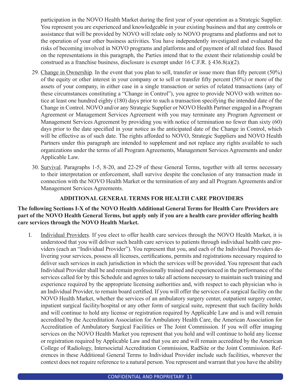participation in the NOVO Health Market during the first year of your operation as a Strategic Supplier. You represent you are experienced and knowledgeable in your existing business and that any controls or assistance that will be provided by NOVO will relate only to NOVO programs and platforms and not to the operation of your other business activities. You have independently investigated and evaluated the risks of becoming involved in NOVO programs and platforms and of payment of all related fees. Based on the representations in this paragraph, the Parties intend that to the extent their relationship could be construed as a franchise business, disclosure is exempt under 16 C.F.R. § 436.8(a)(2).

- 29. Change in Ownership. In the event that you plan to sell, transfer or issue more than fifty percent (50%) of the equity or other interest in your company or to sell or transfer fifty percent (50%) or more of the assets of your company, in either case in a single transaction or series of related transactions (any of these circumstances constituting a "Change in Control"), you agree to provide NOVO with written notice at least one hundred eighty (180) days prior to such a transaction specifying the intended date of the Change in Control. NOVO and/or any Strategic Supplier or NOVO Health Partner engaged in a Program Agreement or Management Services Agreement with you may terminate any Program Agreement or Management Services Agreement by providing you with notice of termination no fewer than sixty (60) days prior to the date specified in your notice as the anticipated date of the Change in Control, which will be effective as of such date. The rights afforded to NOVO, Strategic Suppliers and NOVO Health Partners under this paragraph are intended to supplement and not replace any rights available to such organizations under the terms of all Program Agreements, Management Services Agreements and under Applicable Law.
- 30. Survival. Paragraphs 1-5, 8-20, and 22-29 of these General Terms, together with all terms necessary to their interpretation or enforcement, shall survive despite the conclusion of any transaction made in connection with the NOVO Health Market or the termination of any and all Program Agreements and/or Management Services Agreements.

# **ADDITIONAL GENERAL TERMS FOR HEALTH CARE PROVIDERS**

# **The following Sections I-X of the NOVO Health Additional General Terms for Health Care Providers are part of the NOVO Health General Terms, but apply only if you are a health care provider offering health care services through the NOVO Health Market.**

I. Individual Providers. If you elect to offer health care services through the NOVO Health Market, it is understood that you will deliver such health care services to patients through individual health care providers (each an "Individual Provider"). You represent that you, and each of the Individual Providers delivering your services, possess all licenses, certifications, permits and registrations necessary required to deliver such services in each jurisdiction in which the services will be provided. You represent that each Individual Provider shall be and remain professionally trained and experienced in the performance of the services called for by this Schedule and agrees to take all actions necessary to maintain such training and experience required by the appropriate licensing authorities and, with respect to each physician who is an Individual Provider, to remain board certified. If you will offer the services of a surgical facility on the NOVO Health Market, whether the services of an ambulatory surgery center, outpatient surgery center, inpatient surgical facility/hospital or any other form of surgical suite, represent that such facility holds and will continue to hold any license or registration required by Applicable Law and is and will remain accredited by the Accreditation Association for Ambulatory Health Care, the American Association for Accreditation of Ambulatory Surgical Facilities or The Joint Commission. If you will offer imaging services on the NOVO Health Market you represent that you hold and will continue to hold any license or registration required by Applicable Law and that you are and will remain accredited by the American College of Radiology, Intersocietal Accreditation Commission, RadSite or the Joint Commission. References in these Additional General Terms to Individual Provider include such facilities, wherever the context does not require reference to a natural person. You represent and warrant that you have the ability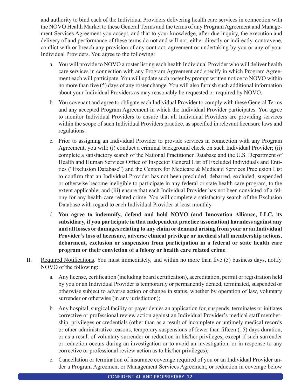and authority to bind each of the Individual Providers delivering health care services in connection with the NOVO Health Market to these General Terms and the terms of any Program Agreement and Management Services Agreement you accept, and that to your knowledge, after due inquiry, the execution and delivery of and performance of these terms do not and will not, either directly or indirectly, contravene, conflict with or breach any provision of any contract, agreement or undertaking by you or any of your Individual Providers. You agree to the following:

- a. You will provide to NOVO a roster listing each health Individual Provider who will deliver health care services in connection with any Program Agreement and specify in which Program Agreement each will participate. You will update such roster by prompt written notice to NOVO within no more than five (5) days of any roster change. You will also furnish such additional information about your Individual Providers as may reasonably be requested or required by NOVO.
- b. You covenant and agree to obligate each Individual Provider to comply with these General Terms and any accepted Program Agreement in which the Individual Provider participates. You agree to monitor Individual Providers to ensure that all Individual Providers are providing services within the scope of such Individual Providers practice, as specified in relevant licensure laws and regulations.
- c. Prior to assigning an Individual Provider to provide services in connection with any Program Agreement, you will: (i) conduct a criminal background check on such Individual Provider; (ii) complete a satisfactory search of the National Practitioner Database and the U.S. Department of Health and Human Services Office of Inspector General List of Excluded Individuals and Entities ("Exclusion Database") and the Centers for Medicare & Medicaid Services Preclusion List to confirm that an Individual Provider has not been precluded, debarred, excluded, suspended or otherwise become ineligible to participate in any federal or state health care program, to the extent applicable; and (iii) ensure that each Individual Provider has not been convicted of a felony for any health-care-related crime. You will complete a satisfactory search of the Exclusion Database with regard to each Individual Provider at least monthly.
- d. **You agree to indemnify, defend and hold NOVO (and Innovation Alliance, LLC, its subsidiary, if you participate in that independent practice association) harmless against any and all losses or damages relating to any claim or demand arising from your or an Individual Provider's loss of licensure, adverse clinical privilege or medical staff membership actions, debarment, exclusion or suspension from participation in a federal or state health care program or their conviction of a felony or health care related crime**.
- II. Required Notifications. You must immediately, and within no more than five (5) business days, notify NOVO of the following:
	- a. Any license, certification (including board certification), accreditation, permit or registration held by you or an Individual Provider is temporarily or permanently denied, terminated, suspended or otherwise subject to adverse action or change in status, whether by operation of law, voluntary surrender or otherwise (in any jurisdiction);
	- b. Any hospital, surgical facility or payer denies an application for, suspends, terminates or initiates corrective or professional review action against an Individual Provider's medical staff membership, privileges or credentials (other than as a result of incomplete or untimely medical records or other administrative reasons, temporary suspensions of fewer than fifteen (15) days duration, or as a result of voluntary surrender or reduction in his/her privileges, except if such surrender or reduction occurs during an investigation or to avoid an investigation, or in response to any corrective or professional review action as to his/her privileges);
	- c. Cancellation or termination of insurance coverage required of you or an Individual Provider under a Program Agreement or Management Services Agreement, or reduction in coverage below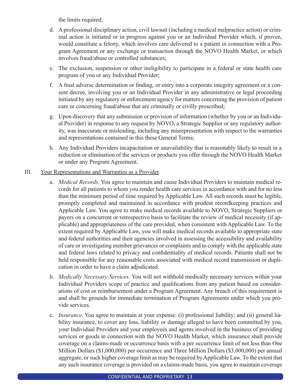the limits required;

- d. A professional disciplinary action, civil lawsuit (including a medical malpractice action) or criminal action is initiated or in progress against you or an Individual Provider which, if proven, would constitute a felony, which involves care delivered to a patient in connection with a Program Agreement or any exchange or transaction through the NOVO Health Market, or which involves fraud/abuse or controlled substances;
- e. The exclusion, suspension or other ineligibility to participate in a federal or state health care program of you or any Individual Provider;
- f. A final adverse determination or finding, or entry into a corporate integrity agreement or a consent decree, involving you or an Individual Provider in any administrative or legal proceeding initiated by any regulatory or enforcement agency for matters concerning the provision of patient care or concerning fraud/abuse that are criminally or civilly proscribed;
- g. Upon discovery that any submission or provision of information (whether by you or an Individual Provider) in response to any request by NOVO, a Strategic Supplier or any regulatory authority, was inaccurate or misleading, including any misrepresentation with respect to the warranties and representations contained in this these General Terms;
- h. Any Individual Providers incapacitation or unavailability that is reasonably likely to result in a reduction or elimination of the services or products you offer through the NOVO Health Market or under any Program Agreement.
- III. Your Representations and Warranties as a Provider.
	- a. *Medical Records*. You agree to maintain and cause Individual Providers to maintain medical records for all patients to whom you render health care services in accordance with and for no less than the minimum period of time required by Applicable Law. All such records must be legible, promptly completed and maintained in accordance with prudent recordkeeping practices and Applicable Law. You agree to make medical records available to NOVO, Strategic Suppliers or payers on a concurrent or retrospective basis to facilitate the review of medical necessity (if applicable) and appropriateness of the care provided, when consistent with Applicable Law. To the extent required by Applicable Law, you will make medical records available to appropriate state and federal authorities and their agencies involved in assessing the accessibility and availability of care or investigating member grievances or complaints and to comply with the applicable state and federal laws related to privacy and confidentiality of medical records. Patients shall not be held responsible for any reasonable costs associated with medical record transmission or duplication in order to have a claim adjudicated.
	- b. *Medically Necessary Services.* You will not withhold medically necessary services within your Individual Providers scope of practice and qualifications from any patient based on considerations of cost or reimbursement under a Program Agreement. Any breach of this requirement is and shall be grounds for immediate termination of Program Agreements under which you provide services.
	- c. *Insurance*. You agree to maintain at your expense: (i) professional liability; and (ii) general liability insurance, to cover any loss, liability or damage alleged to have been committed by you, your Individual Providers and your employees and agents involved in the business of providing services or goods in connection with the NOVO Health Market, which insurance shall provide coverage on a claims-made or occurrence basis with a per occurrence limit of not less than One Million Dollars (\$1,000,000) per occurrence and Three Million Dollars (\$3,000,000) per annual aggregate, or such higher coverage limit as may be required by Applicable Law. To the extent that any such insurance coverage is provided on a claims-made basis, you agree to maintain coverage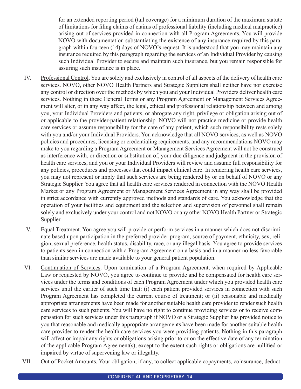for an extended reporting period (tail coverage) for a minimum duration of the maximum statute of limitations for filing claims of claims of professional liability (including medical malpractice) arising out of services provided in connection with all Program Agreements. You will provide NOVO with documentation substantiating the existence of any insurance required by this paragraph within fourteen (14) days of NOVO's request. It is understood that you may maintain any insurance required by this paragraph regarding the services of an Individual Provider by causing such Individual Provider to secure and maintain such insurance, but you remain responsible for assuring such insurance is in place.

- IV. Professional Control. You are solely and exclusively in control of all aspects of the delivery of health care services. NOVO, other NOVO Health Partners and Strategic Suppliers shall neither have nor exercise any control or direction over the methods by which you and your Individual Providers deliver health care services. Nothing in these General Terms or any Program Agreement or Management Services Agreement will alter, or in any way affect, the legal, ethical and professional relationship between and among you, your Individual Providers and patients, or abrogate any right, privilege or obligation arising out of or applicable to the provider-patient relationship. NOVO will not practice medicine or provide health care services or assume responsibility for the care of any patient, which such responsibility rests solely with you and/or your Individual Providers. You acknowledge that all NOVO services, as well as NOVO policies and procedures, licensing or credentialing requirements, and any recommendations NOVO may make to you regarding a Program Agreement or Management Services Agreement will not be construed as interference with, or direction or substitution of, your due diligence and judgment in the provision of health care services, and you or your Individual Providers will review and assume full responsibility for any policies, procedures and processes that could impact clinical care. In rendering health care services, you may not represent or imply that such services are being rendered by or on behalf of NOVO or any Strategic Supplier. You agree that all health care services rendered in connection with the NOVO Health Market or any Program Agreement or Management Services Agreement in any way shall be provided in strict accordance with currently approved methods and standards of care. You acknowledge that the operation of your facilities and equipment and the selection and supervision of personnel shall remain solely and exclusively under your control and not NOVO or any other NOVO Health Partner or Strategic Supplier.
- V. Equal Treatment. You agree you will provide or perform services in a manner which does not discriminate based upon participation in the preferred provider program, source of payment, ethnicity, sex, religion, sexual preference, health status, disability, race, or any illegal basis. You agree to provide services to patients seen in connection with a Program Agreement on a basis and in a manner no less favorable than similar services are made available to your general patient population.
- VI. Continuation of Services. Upon termination of a Program Agreement, when required by Applicable Law or requested by NOVO, you agree to continue to provide and be compensated for health care services under the terms and conditions of each Program Agreement under which you provided health care services until the earlier of such time that: (i) each patient provided services in connection with such Program Agreement has completed the current course of treatment; or (ii) reasonable and medically appropriate arrangements have been made for another suitable health care provider to render such health care services to such patients. You will have no right to continue providing services or to receive compensation for such services under this paragraph if NOVO or a Strategic Supplier has provided notice to you that reasonable and medically appropriate arrangements have been made for another suitable health care provider to render the health care services you were providing patients. Nothing in this paragraph will affect or impair any rights or obligations arising prior to or on the effective date of any termination of the applicable Program Agreement(s), except to the extent such rights or obligations are nullified or impaired by virtue of supervening law or illegality.
- VII. Out of Pocket Amounts. Your obligation, if any, to collect applicable copayments, coinsurance, deduct-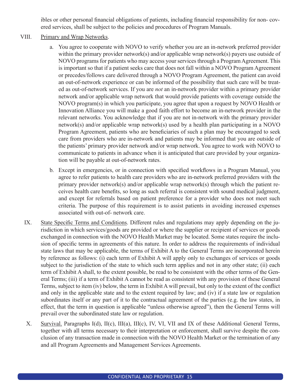ibles or other personal financial obligations of patients, including financial responsibility for non- covered services, shall be subject to the policies and procedures of Program Manuals.

# VIII. Primary and Wrap Networks.

- a. You agree to cooperate with NOVO to verify whether you are an in-network preferred provider within the primary provider network(s) and/or applicable wrap network(s) payers use outside of NOVO programs for patients who may access your services through a Program Agreement. This is important so that if a patient seeks care that does not fall within a NOVO Program Agreement or precedes/follows care delivered through a NOVO Program Agreement, the patient can avoid an out-of-network experience or can be informed of the possibility that such care will be treated as out-of-network services. If you are *not* an in-network provider within a primary provider network and/or applicable wrap network that would provide patients with coverage outside the NOVO program(s) in which you participate, you agree that upon a request by NOVO Health or Innovation Alliance you will make a good faith effort to become an in-network provider in the relevant networks. You acknowledge that if you are not in-network with the primary provider network(s) and/or applicable wrap network(s) used by a health plan participating in a NOVO Program Agreement, patients who are beneficiaries of such a plan may be encouraged to seek care from providers who are in-network and patients may be informed that you are outside of the patients' primary provider network and/or wrap network. You agree to work with NOVO to communicate to patients in advance when it is anticipated that care provided by your organization will be payable at out-of-network rates.
- b. Except in emergencies, or in connection with specified workflows in a Program Manual, you agree to refer patients to health care providers who are in-network preferred providers with the primary provider network(s) and/or applicable wrap network(s) through which the patient receives health care benefits, so long as such referral is consistent with sound medical judgment, and except for referrals based on patient preference for a provider who does not meet such criteria. The purpose of this requirement is to assist patients in avoiding increased expenses associated with out-of- network care.
- IX. State Specific Terms and Conditions. Different rules and regulations may apply depending on the jurisdiction in which services/goods are provided or where the supplier or recipient of services or goods exchanged in connection with the NOVO Health Market may be located. Some states require the inclusion of specific terms in agreements of this nature. In order to address the requirements of individual state laws that may be applicable, the terms of Exhibit A to the General Terms are incorporated herein by reference as follows: (i) each term of Exhibit A will apply only to exchanges of services or goods subject to the jurisdiction of the state to which such term applies and not in any other state; (ii) each term of Exhibit A shall, to the extent possible, be read to be consistent with the other terms of the General Terms; (iii) if a term of Exhibit A cannot be read as consistent with any provision of these General Terms, subject to item (iv) below, the term in Exhibit A will prevail, but only to the extent of the conflict and only in the applicable state and to the extent required by law; and (iv) if a state law or regulation subordinates itself or any part of it to the contractual agreement of the parties (e.g. the law states, in effect, that the term in question is applicable "unless otherwise agreed"), then the General Terms will prevail over the subordinated state law or regulation.
- X. Survival. Paragraphs I(d), II(c), III(a), III(c), IV, VI, VII and IX of these Additional General Terms, together with all terms necessary to their interpretation or enforcement, shall survive despite the conclusion of any transaction made in connection with the NOVO Health Market or the termination of any and all Program Agreements and Management Services Agreements.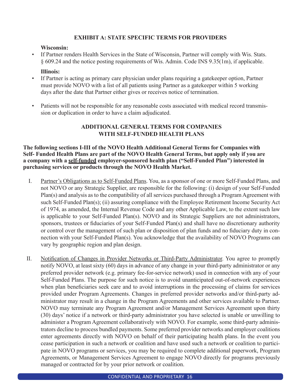# **EXHIBIT A: STATE SPECIFIC TERMS FOR PROVIDERS**

#### **Wisconsin:**

• If Partner renders Health Services in the State of Wisconsin, Partner will comply with Wis. Stats. § 609.24 and the notice posting requirements of Wis. Admin. Code INS 9.35(1m), if applicable.

### **Illinois:**

- If Partner is acting as primary care physician under plans requiring a gatekeeper option, Partner must provide NOVO with a list of all patients using Partner as a gatekeeper within 5 working days after the date that Partner either gives or receives notice of termination.
- Patients will not be responsible for any reasonable costs associated with medical record transmission or duplication in order to have a claim adjudicated.

# **ADDITIONAL GENERAL TERMS FOR COMPANIES WITH SELF-FUNDED HEALTH PLANS**

# **The following sections I-III of the NOVO Health Additional General Terms for Companies with Self- Funded Health Plans are part of the NOVO Health General Terms, but apply only if you are a company with a self-funded employer-sponsored health plan ("Self-Funded Plan") interested in purchasing services or products through the NOVO Health Market.**

- I. Partner's Obligations as to Self-Funded Plans. You, as a sponsor of one or more Self-Funded Plans, and not NOVO or any Strategic Supplier, are responsible for the following: (i) design of your Self-Funded Plan(s) and analysis as to the compatibility of all services purchased through a Program Agreement with such Self-Funded Plan(s); (ii) assuring compliance with the Employee Retirement Income Security Act of 1974, as amended, the Internal Revenue Code and any other Applicable Law, to the extent such law is applicable to your Self-Funded Plan(s). NOVO and its Strategic Suppliers are not administrators, sponsors, trustees or fiduciaries of your Self-Funded Plan(s) and shall have no discretionary authority or control over the management of such plan or disposition of plan funds and no fiduciary duty in connection with your Self-Funded Plan(s). You acknowledge that the availability of NOVO Programs can vary by geographic region and plan design.
- II. Notification of Changes in Provider Networks or Third-Party Administrator. You agree to promptly notify NOVO, at least sixty (60) days in advance of any change in your third-party administrator or any preferred provider network (e.g. primary fee-for-service network) used in connection with any of your Self-Funded Plans. The purpose for such notice is to avoid unanticipated out-of-network experiences when plan beneficiaries seek care and to avoid interruptions in the processing of claims for services provided under Program Agreements. Changes in preferred provider networks and/or third-party administrator may result in a change in the Program Agreements and other services available to Partner. NOVO may terminate any Program Agreement and/or Management Services Agreement upon thirty (30) days' notice if a network or third-party administrator you have selected is unable or unwilling to administer a Program Agreement collaboratively with NOVO. For example, some third-party administrators decline to process bundled payments. Some preferred provider networks and employer coalitions enter agreements directly with NOVO on behalf of their participating health plans. In the event you cease participation in such a network or coalition and have used such a network or coalition to participate in NOVO programs or services, you may be required to complete additional paperwork, Program Agreements, or Management Services Agreement to engage NOVO directly for programs previously managed or contracted for by your prior network or coalition.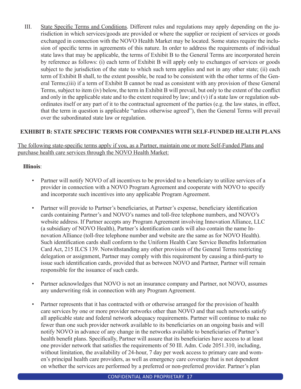III. State Specific Terms and Conditions. Different rules and regulations may apply depending on the jurisdiction in which services/goods are provided or where the supplier or recipient of services or goods exchanged in connection with the NOVO Health Market may be located. Some states require the inclusion of specific terms in agreements of this nature. In order to address the requirements of individual state laws that may be applicable, the terms of Exhibit B to the General Terms are incorporated herein by reference as follows: (i) each term of Exhibit B will apply only to exchanges of services or goods subject to the jurisdiction of the state to which such term applies and not in any other state; (ii) each term of Exhibit B shall, to the extent possible, be read to be consistent with the other terms of the General Terms;(iii) if a term of Exhibit B cannot be read as consistent with any provision of these General Terms, subject to item (iv) below, the term in Exhibit B will prevail, but only to the extent of the conflict and only in the applicable state and to the extent required by law; and (v) if a state law or regulation subordinates itself or any part of it to the contractual agreement of the parties (e.g. the law states, in effect, that the term in question is applicable "unless otherwise agreed"), then the General Terms will prevail over the subordinated state law or regulation.

# **EXHIBIT B: STATE SPECIFIC TERMS FOR COMPANIES WITH SELF-FUNDED HEALTH PLANS**

# The following state-specific terms apply if you, as a Partner, maintain one or more Self-Funded Plans and purchase health care services through the NOVO Health Market:

# **Illinois**:

- Partner will notify NOVO of all incentives to be provided to a beneficiary to utilize services of a provider in connection with a NOVO Program Agreement and cooperate with NOVO to specify and incorporate such incentives into any applicable Program Agreement.
- Partner will provide to Partner's beneficiaries, at Partner's expense, beneficiary identification cards containing Partner's and NOVO's names and toll-free telephone numbers, and NOVO's website address. If Partner accepts any Program Agreement involving Innovation Alliance, LLC (a subsidiary of NOVO Health), Partner's identification cards will also contain the name Innovation Alliance (toll-free telephone number and website are the same as for NOVO Health). Such identification cards shall conform to the Uniform Health Care Service Benefits Information Card Act, 215 ILCS 139. Notwithstanding any other provision of the General Terms restricting delegation or assignment, Partner may comply with this requirement by causing a third-party to issue such identification cards, provided that as between NOVO and Partner, Partner will remain responsible for the issuance of such cards.
- Partner acknowledges that NOVO is not an insurance company and Partner, not NOVO, assumes any underwriting risk in connection with any Program Agreement.
- Partner represents that it has contracted with or otherwise arranged for the provision of health care services by one or more provider networks other than NOVO and that such networks satisfy all applicable state and federal network adequacy requirements. Partner will continue to make no fewer than one such provider network available to its beneficiaries on an ongoing basis and will notify NOVO in advance of any change in the networks available to beneficiaries of Partner's health benefit plans. Specifically, Partner will assure that its beneficiaries have access to at least one provider network that satisfies the requirements of 50 Ill. Adm. Code 2051.310, including, without limitation, the availability of 24-hour, 7 day per week access to primary care and women's principal health care providers, as well as emergency care coverage that is not dependent on whether the services are performed by a preferred or non-preferred provider. Partner's plan